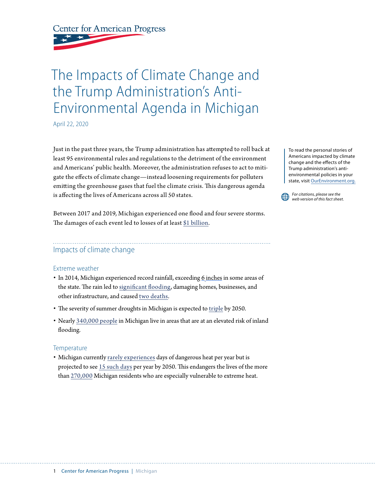**Center for American Progress** 

# The Impacts of Climate Change and the Trump Administration's Anti-Environmental Agenda in Michigan

April 22, 2020

Just in the past three years, the Trump administration has attempted to roll back at least 95 environmental rules and regulations to the detriment of the environment and Americans' public health. Moreover, the administration refuses to act to mitigate the effects of climate change—instead loosening requirements for polluters emitting the greenhouse gases that fuel the climate crisis. This dangerous agenda is affecting the lives of Americans across all 50 states.

Between 2017 and 2019, Michigan experienced one flood and four severe storms. The damages of each event led to losses of at least [\\$1 billion](https://www.ncdc.noaa.gov/billions/events/MI/2017-2019).

## Impacts of climate change

#### Extreme weather

- In 2014, Michigan experienced record rainfall, exceeding 6 [inches](https://www.michigan.gov/msp/0,4643,7-123-72297_60152_68178---,00.html) in some areas of the state. The rain led to [significant flooding,](https://www.c2es.org/content/extreme-weather-and-climate-change/) damaging homes, businesses, and other infrastructure, and caused [two deaths](https://www.c2es.org/content/extreme-weather-and-climate-change/).
- The severity of summer droughts in Michigan is expected to [triple](https://statesatrisk.org/michigan/all) by 2050.
- Nearly [340,000 people](https://statesatrisk.org/michigan/all) in Michigan live in areas that are at an elevated risk of inland flooding.

#### **Temperature**

• Michigan currently [rarely experiences](https://statesatrisk.org/michigan/all) days of dangerous heat per year but is projected to see [15 such days](https://statesatrisk.org/michigan/all) per year by 2050. This endangers the lives of the more than [270,000](https://statesatrisk.org/michigan/all) Michigan residents who are especially vulnerable to extreme heat.

To read the personal stories of Americans impacted by climate change and the effects of the Trump administration's antienvironmental policies in your state, visit [OurEnvironment.org.](http://OurEnvironment.org.)

*For citations, please see the web version of this fact sheet.*